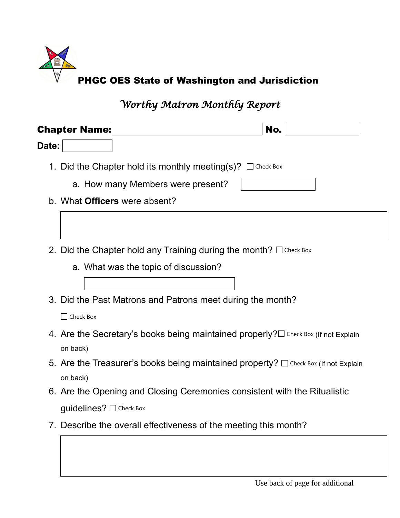

*Worthy Matron Monthly Report*

| <b>Chapter Name:</b><br>No.                                                |                                                                                             |  |  |
|----------------------------------------------------------------------------|---------------------------------------------------------------------------------------------|--|--|
| Date:                                                                      |                                                                                             |  |  |
| 1. Did the Chapter hold its monthly meeting(s)? $\Box$ Check Box           |                                                                                             |  |  |
| a. How many Members were present?                                          |                                                                                             |  |  |
| b. What <b>Officers</b> were absent?                                       |                                                                                             |  |  |
|                                                                            |                                                                                             |  |  |
|                                                                            |                                                                                             |  |  |
| 2. Did the Chapter hold any Training during the month? $\square$ Check Box |                                                                                             |  |  |
| a. What was the topic of discussion?                                       |                                                                                             |  |  |
|                                                                            |                                                                                             |  |  |
| 3. Did the Past Matrons and Patrons meet during the month?                 |                                                                                             |  |  |
| $\Box$ Check Box                                                           |                                                                                             |  |  |
|                                                                            | 4. Are the Secretary's books being maintained properly? $\square$ Check Box (If not Explain |  |  |
| on back)                                                                   |                                                                                             |  |  |
|                                                                            | 5. Are the Treasurer's books being maintained property? $\Box$ Check Box (If not Explain    |  |  |

on back)

- 6. Are the Opening and Closing Ceremonies consistent with the Ritualistic **guidelines?** □ Check Box
- 7. Describe the overall effectiveness of the meeting this month?